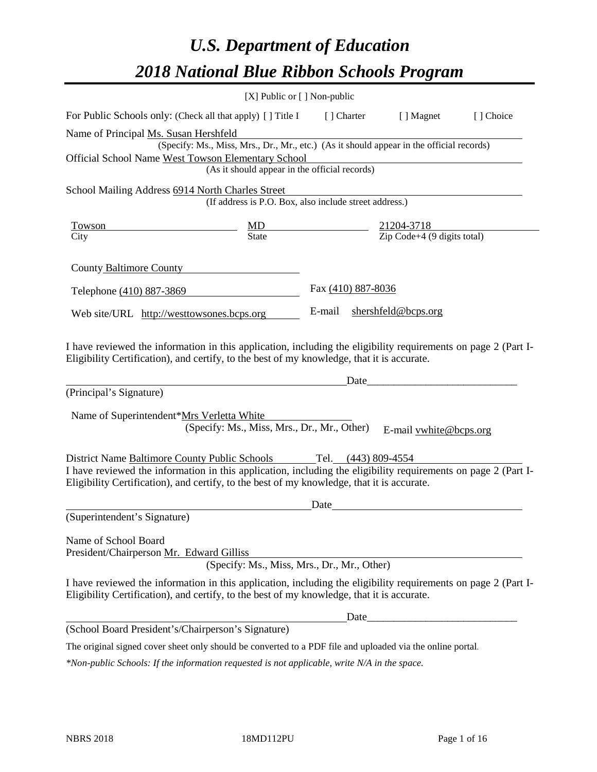# *U.S. Department of Education 2018 National Blue Ribbon Schools Program*

|                                                                                                                                                                                                                                                               | $[X]$ Public or $[ \ ]$ Non-public                                                                                                        |                     |                                                             |            |
|---------------------------------------------------------------------------------------------------------------------------------------------------------------------------------------------------------------------------------------------------------------|-------------------------------------------------------------------------------------------------------------------------------------------|---------------------|-------------------------------------------------------------|------------|
| For Public Schools only: (Check all that apply) [] Title I                                                                                                                                                                                                    |                                                                                                                                           | [] Charter          | [ ] Magnet                                                  | [ ] Choice |
| Name of Principal Ms. Susan Hershfeld<br>Official School Name West Towson Elementary School                                                                                                                                                                   | (Specify: Ms., Miss, Mrs., Dr., Mr., etc.) (As it should appear in the official records)<br>(As it should appear in the official records) |                     |                                                             |            |
| School Mailing Address 6914 North Charles Street                                                                                                                                                                                                              |                                                                                                                                           |                     |                                                             |            |
|                                                                                                                                                                                                                                                               | (If address is P.O. Box, also include street address.)                                                                                    |                     |                                                             |            |
| Towson                                                                                                                                                                                                                                                        | MD                                                                                                                                        |                     | $\frac{21204 - 3718}{\text{Zip Code} + 4 (9 digits total)}$ |            |
| City                                                                                                                                                                                                                                                          | State                                                                                                                                     |                     |                                                             |            |
| County Baltimore County                                                                                                                                                                                                                                       |                                                                                                                                           |                     |                                                             |            |
| Telephone (410) 887-3869                                                                                                                                                                                                                                      |                                                                                                                                           | Fax (410) 887-8036  |                                                             |            |
| Web site/URL http://westtowsones.bcps.org                                                                                                                                                                                                                     |                                                                                                                                           | E-mail              | shershfeld@bcps.org                                         |            |
| (Principal's Signature)<br>Name of Superintendent*Mrs Verletta White                                                                                                                                                                                          | (Specify: Ms., Miss, Mrs., Dr., Mr., Other)                                                                                               | Date                | E-mail vwhite@bcps.org                                      |            |
| District Name Baltimore County Public Schools<br>I have reviewed the information in this application, including the eligibility requirements on page 2 (Part I-<br>Eligibility Certification), and certify, to the best of my knowledge, that it is accurate. |                                                                                                                                           | Tel. (443) 809-4554 |                                                             |            |
| (Superintendent's Signature)                                                                                                                                                                                                                                  |                                                                                                                                           | Date                |                                                             |            |
| Name of School Board<br>President/Chairperson Mr. Edward Gilliss<br>I have reviewed the information in this application, including the eligibility requirements on page 2 (Part I-                                                                            | (Specify: Ms., Miss, Mrs., Dr., Mr., Other)                                                                                               |                     |                                                             |            |
| Eligibility Certification), and certify, to the best of my knowledge, that it is accurate.                                                                                                                                                                    |                                                                                                                                           |                     |                                                             |            |
|                                                                                                                                                                                                                                                               |                                                                                                                                           | Date_               |                                                             |            |
| (School Board President's/Chairperson's Signature)                                                                                                                                                                                                            |                                                                                                                                           |                     |                                                             |            |
| The original signed cover sheet only should be converted to a PDF file and uploaded via the online portal.                                                                                                                                                    |                                                                                                                                           |                     |                                                             |            |

*\*Non-public Schools: If the information requested is not applicable, write N/A in the space.*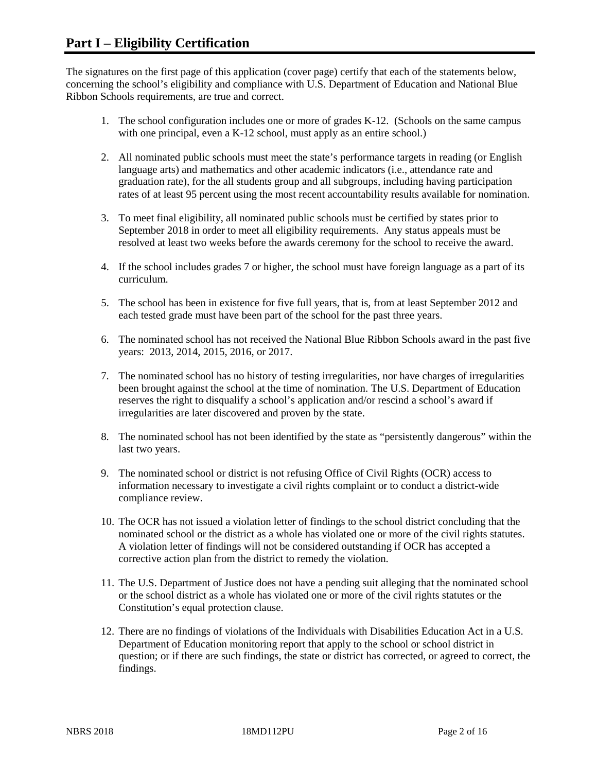The signatures on the first page of this application (cover page) certify that each of the statements below, concerning the school's eligibility and compliance with U.S. Department of Education and National Blue Ribbon Schools requirements, are true and correct.

- 1. The school configuration includes one or more of grades K-12. (Schools on the same campus with one principal, even a K-12 school, must apply as an entire school.)
- 2. All nominated public schools must meet the state's performance targets in reading (or English language arts) and mathematics and other academic indicators (i.e., attendance rate and graduation rate), for the all students group and all subgroups, including having participation rates of at least 95 percent using the most recent accountability results available for nomination.
- 3. To meet final eligibility, all nominated public schools must be certified by states prior to September 2018 in order to meet all eligibility requirements. Any status appeals must be resolved at least two weeks before the awards ceremony for the school to receive the award.
- 4. If the school includes grades 7 or higher, the school must have foreign language as a part of its curriculum.
- 5. The school has been in existence for five full years, that is, from at least September 2012 and each tested grade must have been part of the school for the past three years.
- 6. The nominated school has not received the National Blue Ribbon Schools award in the past five years: 2013, 2014, 2015, 2016, or 2017.
- 7. The nominated school has no history of testing irregularities, nor have charges of irregularities been brought against the school at the time of nomination. The U.S. Department of Education reserves the right to disqualify a school's application and/or rescind a school's award if irregularities are later discovered and proven by the state.
- 8. The nominated school has not been identified by the state as "persistently dangerous" within the last two years.
- 9. The nominated school or district is not refusing Office of Civil Rights (OCR) access to information necessary to investigate a civil rights complaint or to conduct a district-wide compliance review.
- 10. The OCR has not issued a violation letter of findings to the school district concluding that the nominated school or the district as a whole has violated one or more of the civil rights statutes. A violation letter of findings will not be considered outstanding if OCR has accepted a corrective action plan from the district to remedy the violation.
- 11. The U.S. Department of Justice does not have a pending suit alleging that the nominated school or the school district as a whole has violated one or more of the civil rights statutes or the Constitution's equal protection clause.
- 12. There are no findings of violations of the Individuals with Disabilities Education Act in a U.S. Department of Education monitoring report that apply to the school or school district in question; or if there are such findings, the state or district has corrected, or agreed to correct, the findings.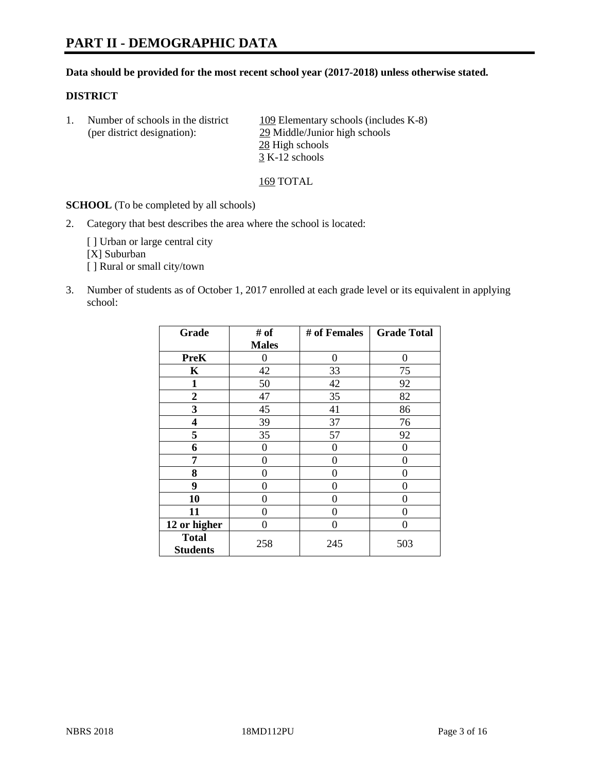# **PART II - DEMOGRAPHIC DATA**

#### **Data should be provided for the most recent school year (2017-2018) unless otherwise stated.**

#### **DISTRICT**

1. Number of schools in the district 109 Elementary schools (includes K-8) (per district designation): 29 Middle/Junior high schools 28 High schools 3 K-12 schools

169 TOTAL

**SCHOOL** (To be completed by all schools)

2. Category that best describes the area where the school is located:

[] Urban or large central city [X] Suburban [] Rural or small city/town

3. Number of students as of October 1, 2017 enrolled at each grade level or its equivalent in applying school:

| Grade                           | # of         | # of Females | <b>Grade Total</b> |
|---------------------------------|--------------|--------------|--------------------|
|                                 | <b>Males</b> |              |                    |
| <b>PreK</b>                     | 0            | $\Omega$     | 0                  |
| K                               | 42           | 33           | 75                 |
| $\mathbf{1}$                    | 50           | 42           | 92                 |
| 2                               | 47           | 35           | 82                 |
| 3                               | 45           | 41           | 86                 |
| 4                               | 39           | 37           | 76                 |
| 5                               | 35           | 57           | 92                 |
| 6                               | $\theta$     | 0            | $\Omega$           |
| 7                               | 0            | 0            | 0                  |
| 8                               | 0            | 0            | 0                  |
| 9                               | 0            | 0            | 0                  |
| 10                              | 0            | 0            | 0                  |
| 11                              | 0            | 0            | 0                  |
| 12 or higher                    | 0            | 0            | 0                  |
| <b>Total</b><br><b>Students</b> | 258          | 245          | 503                |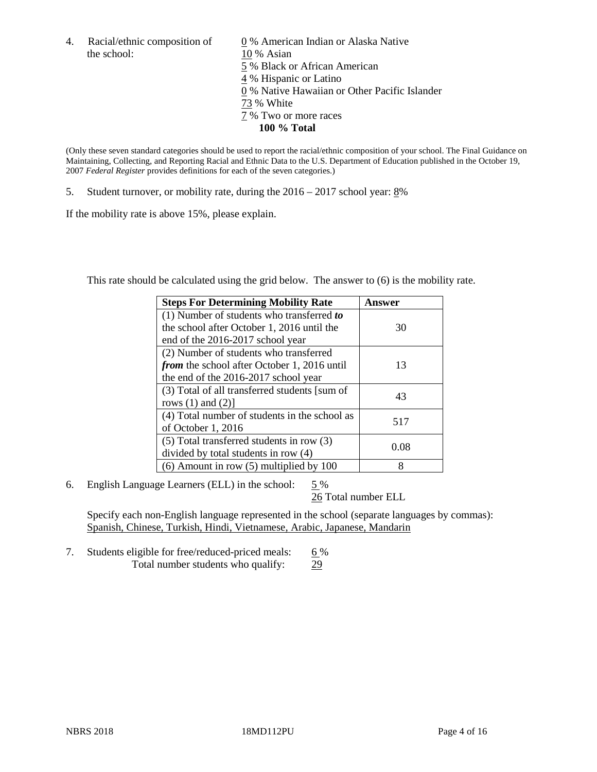the school: 10 % Asian

4. Racial/ethnic composition of  $\qquad 0\%$  American Indian or Alaska Native 5 % Black or African American 4 % Hispanic or Latino 0 % Native Hawaiian or Other Pacific Islander 73 % White 7 % Two or more races **100 % Total**

(Only these seven standard categories should be used to report the racial/ethnic composition of your school. The Final Guidance on Maintaining, Collecting, and Reporting Racial and Ethnic Data to the U.S. Department of Education published in the October 19, 2007 *Federal Register* provides definitions for each of the seven categories.)

5. Student turnover, or mobility rate, during the 2016 – 2017 school year: 8%

If the mobility rate is above 15%, please explain.

This rate should be calculated using the grid below. The answer to (6) is the mobility rate.

| <b>Steps For Determining Mobility Rate</b>         | Answer |
|----------------------------------------------------|--------|
| (1) Number of students who transferred to          |        |
| the school after October 1, 2016 until the         | 30     |
| end of the 2016-2017 school year                   |        |
| (2) Number of students who transferred             |        |
| <i>from</i> the school after October 1, 2016 until | 13     |
| the end of the 2016-2017 school year               |        |
| (3) Total of all transferred students [sum of      | 43     |
| rows $(1)$ and $(2)$ ]                             |        |
| (4) Total number of students in the school as      |        |
| of October 1, 2016                                 | 517    |
| (5) Total transferred students in row (3)          |        |
| divided by total students in row (4)               | 0.08   |
| $(6)$ Amount in row $(5)$ multiplied by 100        | 8      |

6. English Language Learners (ELL) in the school:  $5\%$ 

26 Total number ELL

Specify each non-English language represented in the school (separate languages by commas): Spanish, Chinese, Turkish, Hindi, Vietnamese, Arabic, Japanese, Mandarin

7. Students eligible for free/reduced-priced meals: 6% Total number students who qualify: 29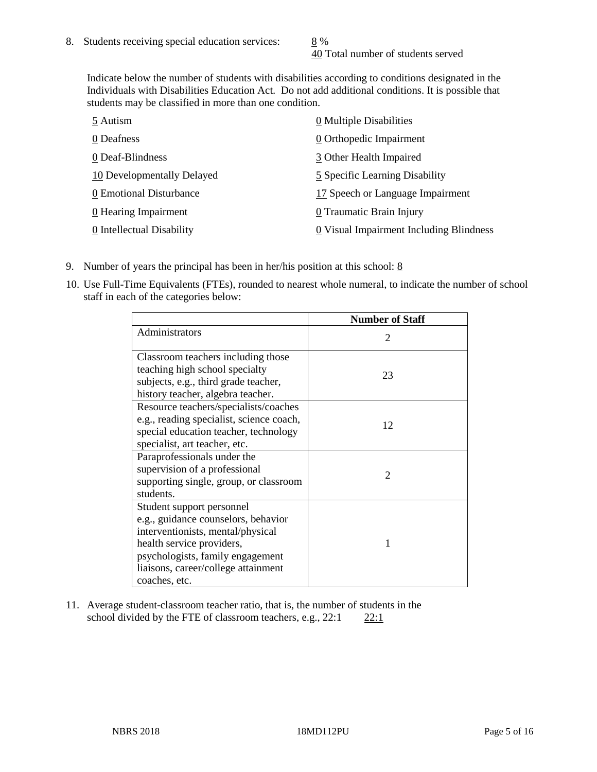40 Total number of students served

Indicate below the number of students with disabilities according to conditions designated in the Individuals with Disabilities Education Act. Do not add additional conditions. It is possible that students may be classified in more than one condition.

| 5 Autism                   | 0 Multiple Disabilities                 |
|----------------------------|-----------------------------------------|
| 0 Deafness                 | 0 Orthopedic Impairment                 |
| 0 Deaf-Blindness           | 3 Other Health Impaired                 |
| 10 Developmentally Delayed | 5 Specific Learning Disability          |
| 0 Emotional Disturbance    | 17 Speech or Language Impairment        |
| 0 Hearing Impairment       | 0 Traumatic Brain Injury                |
| 0 Intellectual Disability  | 0 Visual Impairment Including Blindness |

- 9. Number of years the principal has been in her/his position at this school:  $8$
- 10. Use Full-Time Equivalents (FTEs), rounded to nearest whole numeral, to indicate the number of school staff in each of the categories below:

|                                                                                                                                                                                                                                | <b>Number of Staff</b>      |
|--------------------------------------------------------------------------------------------------------------------------------------------------------------------------------------------------------------------------------|-----------------------------|
| Administrators                                                                                                                                                                                                                 | $\mathcal{D}_{\mathcal{L}}$ |
| Classroom teachers including those<br>teaching high school specialty<br>subjects, e.g., third grade teacher,<br>history teacher, algebra teacher.                                                                              | 23                          |
| Resource teachers/specialists/coaches<br>e.g., reading specialist, science coach,<br>special education teacher, technology<br>specialist, art teacher, etc.                                                                    | 12                          |
| Paraprofessionals under the<br>supervision of a professional<br>supporting single, group, or classroom<br>students.                                                                                                            | $\mathfrak{D}$              |
| Student support personnel<br>e.g., guidance counselors, behavior<br>interventionists, mental/physical<br>health service providers,<br>psychologists, family engagement<br>liaisons, career/college attainment<br>coaches, etc. | 1                           |

11. Average student-classroom teacher ratio, that is, the number of students in the school divided by the FTE of classroom teachers, e.g.,  $22:1$  22:1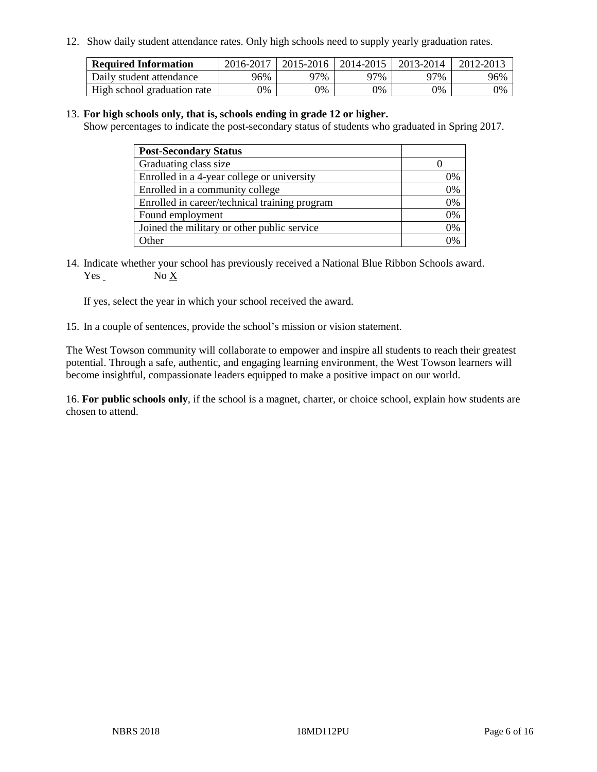12. Show daily student attendance rates. Only high schools need to supply yearly graduation rates.

| <b>Required Information</b> | 2016-2017 | $2015 - 2016$ | 2014-2015 | 2013-2014 | 2012-2013 |
|-----------------------------|-----------|---------------|-----------|-----------|-----------|
| Daily student attendance    | 96%       | 97%           | 97%       | 97%       | 96%       |
| High school graduation rate | 0%        | 0%            | 0%        | 9%        | 0%        |

#### 13. **For high schools only, that is, schools ending in grade 12 or higher.**

Show percentages to indicate the post-secondary status of students who graduated in Spring 2017.

| <b>Post-Secondary Status</b>                  |    |
|-----------------------------------------------|----|
| Graduating class size                         |    |
| Enrolled in a 4-year college or university    | 0% |
| Enrolled in a community college               | 0% |
| Enrolled in career/technical training program | 0% |
| Found employment                              | 0% |
| Joined the military or other public service   | 0% |
| Other                                         | ገ% |

14. Indicate whether your school has previously received a National Blue Ribbon Schools award. Yes No X

If yes, select the year in which your school received the award.

15. In a couple of sentences, provide the school's mission or vision statement.

The West Towson community will collaborate to empower and inspire all students to reach their greatest potential. Through a safe, authentic, and engaging learning environment, the West Towson learners will become insightful, compassionate leaders equipped to make a positive impact on our world.

16. **For public schools only**, if the school is a magnet, charter, or choice school, explain how students are chosen to attend.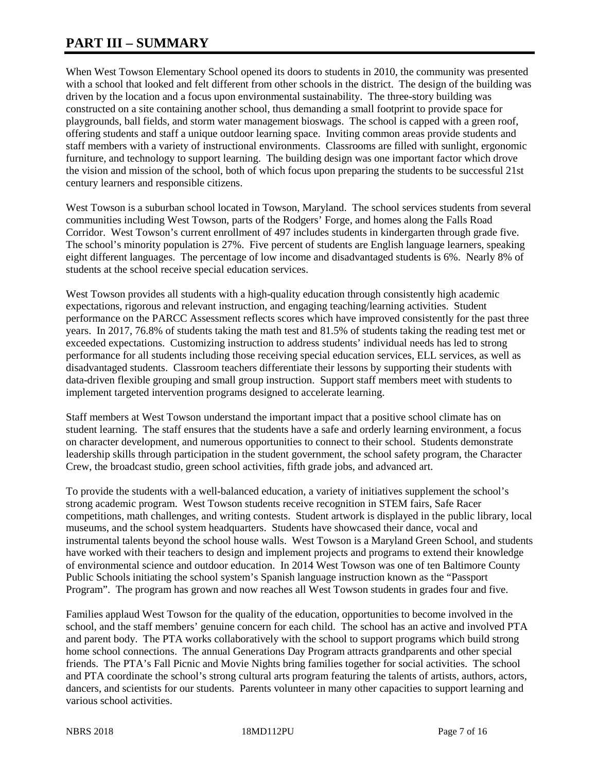# **PART III – SUMMARY**

When West Towson Elementary School opened its doors to students in 2010, the community was presented with a school that looked and felt different from other schools in the district. The design of the building was driven by the location and a focus upon environmental sustainability. The three-story building was constructed on a site containing another school, thus demanding a small footprint to provide space for playgrounds, ball fields, and storm water management bioswags. The school is capped with a green roof, offering students and staff a unique outdoor learning space. Inviting common areas provide students and staff members with a variety of instructional environments. Classrooms are filled with sunlight, ergonomic furniture, and technology to support learning. The building design was one important factor which drove the vision and mission of the school, both of which focus upon preparing the students to be successful 21st century learners and responsible citizens.

West Towson is a suburban school located in Towson, Maryland. The school services students from several communities including West Towson, parts of the Rodgers' Forge, and homes along the Falls Road Corridor. West Towson's current enrollment of 497 includes students in kindergarten through grade five. The school's minority population is 27%. Five percent of students are English language learners, speaking eight different languages. The percentage of low income and disadvantaged students is 6%. Nearly 8% of students at the school receive special education services.

West Towson provides all students with a high-quality education through consistently high academic expectations, rigorous and relevant instruction, and engaging teaching/learning activities. Student performance on the PARCC Assessment reflects scores which have improved consistently for the past three years. In 2017, 76.8% of students taking the math test and 81.5% of students taking the reading test met or exceeded expectations. Customizing instruction to address students' individual needs has led to strong performance for all students including those receiving special education services, ELL services, as well as disadvantaged students. Classroom teachers differentiate their lessons by supporting their students with data-driven flexible grouping and small group instruction. Support staff members meet with students to implement targeted intervention programs designed to accelerate learning.

Staff members at West Towson understand the important impact that a positive school climate has on student learning. The staff ensures that the students have a safe and orderly learning environment, a focus on character development, and numerous opportunities to connect to their school. Students demonstrate leadership skills through participation in the student government, the school safety program, the Character Crew, the broadcast studio, green school activities, fifth grade jobs, and advanced art.

To provide the students with a well-balanced education, a variety of initiatives supplement the school's strong academic program. West Towson students receive recognition in STEM fairs, Safe Racer competitions, math challenges, and writing contests. Student artwork is displayed in the public library, local museums, and the school system headquarters. Students have showcased their dance, vocal and instrumental talents beyond the school house walls. West Towson is a Maryland Green School, and students have worked with their teachers to design and implement projects and programs to extend their knowledge of environmental science and outdoor education. In 2014 West Towson was one of ten Baltimore County Public Schools initiating the school system's Spanish language instruction known as the "Passport Program". The program has grown and now reaches all West Towson students in grades four and five.

Families applaud West Towson for the quality of the education, opportunities to become involved in the school, and the staff members' genuine concern for each child. The school has an active and involved PTA and parent body. The PTA works collaboratively with the school to support programs which build strong home school connections. The annual Generations Day Program attracts grandparents and other special friends. The PTA's Fall Picnic and Movie Nights bring families together for social activities. The school and PTA coordinate the school's strong cultural arts program featuring the talents of artists, authors, actors, dancers, and scientists for our students. Parents volunteer in many other capacities to support learning and various school activities.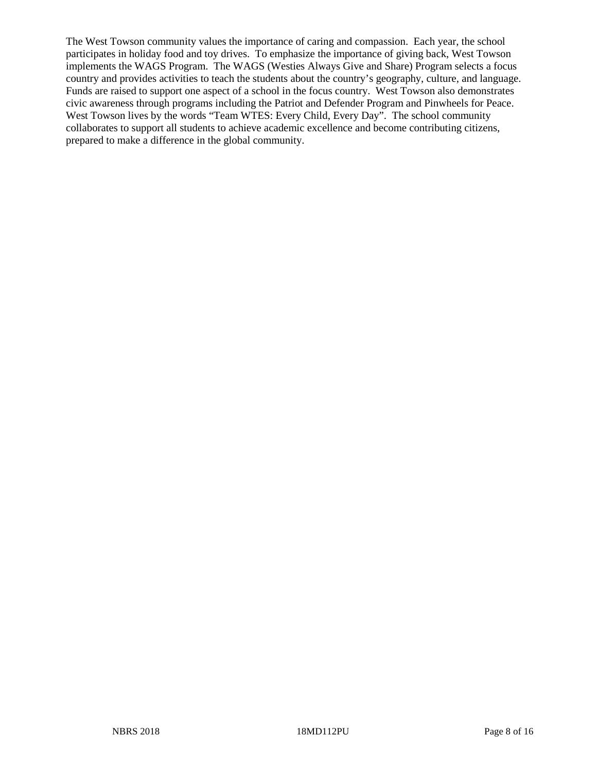The West Towson community values the importance of caring and compassion. Each year, the school participates in holiday food and toy drives. To emphasize the importance of giving back, West Towson implements the WAGS Program. The WAGS (Westies Always Give and Share) Program selects a focus country and provides activities to teach the students about the country's geography, culture, and language. Funds are raised to support one aspect of a school in the focus country. West Towson also demonstrates civic awareness through programs including the Patriot and Defender Program and Pinwheels for Peace. West Towson lives by the words "Team WTES: Every Child, Every Day". The school community collaborates to support all students to achieve academic excellence and become contributing citizens, prepared to make a difference in the global community.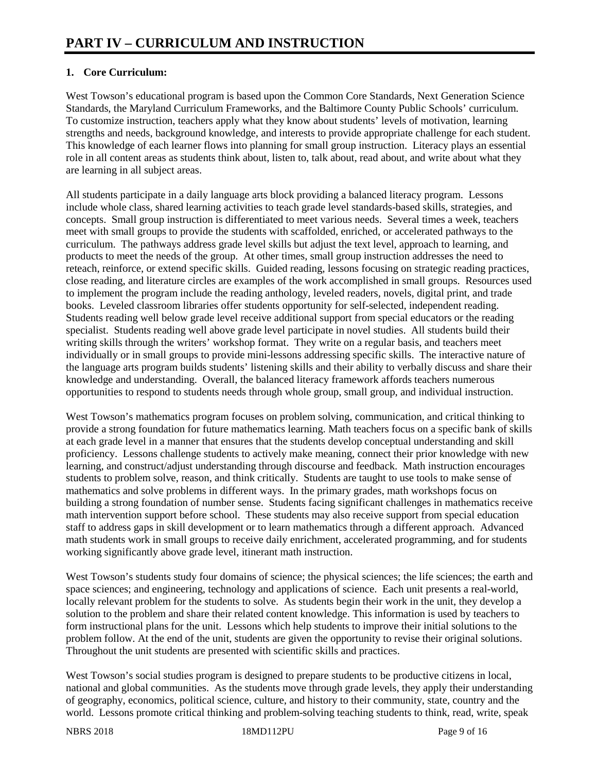# **1. Core Curriculum:**

West Towson's educational program is based upon the Common Core Standards, Next Generation Science Standards, the Maryland Curriculum Frameworks, and the Baltimore County Public Schools' curriculum. To customize instruction, teachers apply what they know about students' levels of motivation, learning strengths and needs, background knowledge, and interests to provide appropriate challenge for each student. This knowledge of each learner flows into planning for small group instruction. Literacy plays an essential role in all content areas as students think about, listen to, talk about, read about, and write about what they are learning in all subject areas.

All students participate in a daily language arts block providing a balanced literacy program. Lessons include whole class, shared learning activities to teach grade level standards-based skills, strategies, and concepts. Small group instruction is differentiated to meet various needs. Several times a week, teachers meet with small groups to provide the students with scaffolded, enriched, or accelerated pathways to the curriculum. The pathways address grade level skills but adjust the text level, approach to learning, and products to meet the needs of the group. At other times, small group instruction addresses the need to reteach, reinforce, or extend specific skills. Guided reading, lessons focusing on strategic reading practices, close reading, and literature circles are examples of the work accomplished in small groups. Resources used to implement the program include the reading anthology, leveled readers, novels, digital print, and trade books. Leveled classroom libraries offer students opportunity for self-selected, independent reading. Students reading well below grade level receive additional support from special educators or the reading specialist. Students reading well above grade level participate in novel studies. All students build their writing skills through the writers' workshop format. They write on a regular basis, and teachers meet individually or in small groups to provide mini-lessons addressing specific skills. The interactive nature of the language arts program builds students' listening skills and their ability to verbally discuss and share their knowledge and understanding. Overall, the balanced literacy framework affords teachers numerous opportunities to respond to students needs through whole group, small group, and individual instruction.

West Towson's mathematics program focuses on problem solving, communication, and critical thinking to provide a strong foundation for future mathematics learning. Math teachers focus on a specific bank of skills at each grade level in a manner that ensures that the students develop conceptual understanding and skill proficiency. Lessons challenge students to actively make meaning, connect their prior knowledge with new learning, and construct/adjust understanding through discourse and feedback. Math instruction encourages students to problem solve, reason, and think critically. Students are taught to use tools to make sense of mathematics and solve problems in different ways. In the primary grades, math workshops focus on building a strong foundation of number sense. Students facing significant challenges in mathematics receive math intervention support before school. These students may also receive support from special education staff to address gaps in skill development or to learn mathematics through a different approach. Advanced math students work in small groups to receive daily enrichment, accelerated programming, and for students working significantly above grade level, itinerant math instruction.

West Towson's students study four domains of science; the physical sciences; the life sciences; the earth and space sciences; and engineering, technology and applications of science. Each unit presents a real-world, locally relevant problem for the students to solve. As students begin their work in the unit, they develop a solution to the problem and share their related content knowledge. This information is used by teachers to form instructional plans for the unit. Lessons which help students to improve their initial solutions to the problem follow. At the end of the unit, students are given the opportunity to revise their original solutions. Throughout the unit students are presented with scientific skills and practices.

West Towson's social studies program is designed to prepare students to be productive citizens in local, national and global communities. As the students move through grade levels, they apply their understanding of geography, economics, political science, culture, and history to their community, state, country and the world. Lessons promote critical thinking and problem-solving teaching students to think, read, write, speak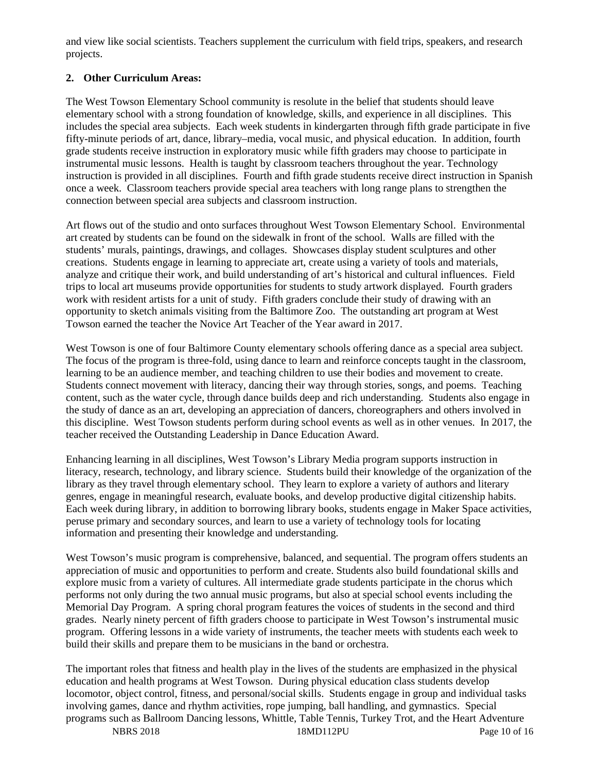and view like social scientists. Teachers supplement the curriculum with field trips, speakers, and research projects.

# **2. Other Curriculum Areas:**

The West Towson Elementary School community is resolute in the belief that students should leave elementary school with a strong foundation of knowledge, skills, and experience in all disciplines. This includes the special area subjects. Each week students in kindergarten through fifth grade participate in five fifty-minute periods of art, dance, library–media, vocal music, and physical education. In addition, fourth grade students receive instruction in exploratory music while fifth graders may choose to participate in instrumental music lessons. Health is taught by classroom teachers throughout the year. Technology instruction is provided in all disciplines. Fourth and fifth grade students receive direct instruction in Spanish once a week. Classroom teachers provide special area teachers with long range plans to strengthen the connection between special area subjects and classroom instruction.

Art flows out of the studio and onto surfaces throughout West Towson Elementary School. Environmental art created by students can be found on the sidewalk in front of the school. Walls are filled with the students' murals, paintings, drawings, and collages. Showcases display student sculptures and other creations. Students engage in learning to appreciate art, create using a variety of tools and materials, analyze and critique their work, and build understanding of art's historical and cultural influences. Field trips to local art museums provide opportunities for students to study artwork displayed. Fourth graders work with resident artists for a unit of study. Fifth graders conclude their study of drawing with an opportunity to sketch animals visiting from the Baltimore Zoo. The outstanding art program at West Towson earned the teacher the Novice Art Teacher of the Year award in 2017.

West Towson is one of four Baltimore County elementary schools offering dance as a special area subject. The focus of the program is three-fold, using dance to learn and reinforce concepts taught in the classroom, learning to be an audience member, and teaching children to use their bodies and movement to create. Students connect movement with literacy, dancing their way through stories, songs, and poems. Teaching content, such as the water cycle, through dance builds deep and rich understanding. Students also engage in the study of dance as an art, developing an appreciation of dancers, choreographers and others involved in this discipline. West Towson students perform during school events as well as in other venues. In 2017, the teacher received the Outstanding Leadership in Dance Education Award.

Enhancing learning in all disciplines, West Towson's Library Media program supports instruction in literacy, research, technology, and library science. Students build their knowledge of the organization of the library as they travel through elementary school. They learn to explore a variety of authors and literary genres, engage in meaningful research, evaluate books, and develop productive digital citizenship habits. Each week during library, in addition to borrowing library books, students engage in Maker Space activities, peruse primary and secondary sources, and learn to use a variety of technology tools for locating information and presenting their knowledge and understanding.

West Towson's music program is comprehensive, balanced, and sequential. The program offers students an appreciation of music and opportunities to perform and create. Students also build foundational skills and explore music from a variety of cultures. All intermediate grade students participate in the chorus which performs not only during the two annual music programs, but also at special school events including the Memorial Day Program. A spring choral program features the voices of students in the second and third grades. Nearly ninety percent of fifth graders choose to participate in West Towson's instrumental music program. Offering lessons in a wide variety of instruments, the teacher meets with students each week to build their skills and prepare them to be musicians in the band or orchestra.

The important roles that fitness and health play in the lives of the students are emphasized in the physical education and health programs at West Towson. During physical education class students develop locomotor, object control, fitness, and personal/social skills. Students engage in group and individual tasks involving games, dance and rhythm activities, rope jumping, ball handling, and gymnastics. Special programs such as Ballroom Dancing lessons, Whittle, Table Tennis, Turkey Trot, and the Heart Adventure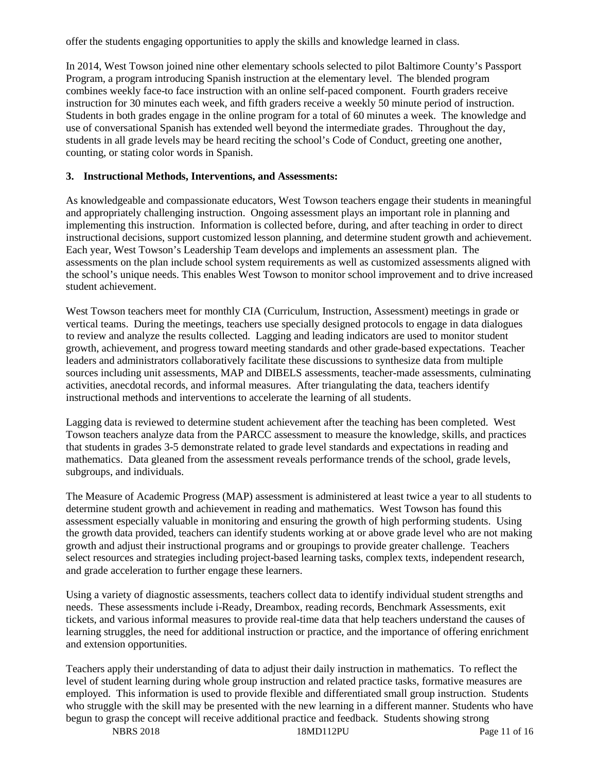offer the students engaging opportunities to apply the skills and knowledge learned in class.

In 2014, West Towson joined nine other elementary schools selected to pilot Baltimore County's Passport Program, a program introducing Spanish instruction at the elementary level. The blended program combines weekly face-to face instruction with an online self-paced component. Fourth graders receive instruction for 30 minutes each week, and fifth graders receive a weekly 50 minute period of instruction. Students in both grades engage in the online program for a total of 60 minutes a week. The knowledge and use of conversational Spanish has extended well beyond the intermediate grades. Throughout the day, students in all grade levels may be heard reciting the school's Code of Conduct, greeting one another, counting, or stating color words in Spanish.

## **3. Instructional Methods, Interventions, and Assessments:**

As knowledgeable and compassionate educators, West Towson teachers engage their students in meaningful and appropriately challenging instruction. Ongoing assessment plays an important role in planning and implementing this instruction. Information is collected before, during, and after teaching in order to direct instructional decisions, support customized lesson planning, and determine student growth and achievement. Each year, West Towson's Leadership Team develops and implements an assessment plan. The assessments on the plan include school system requirements as well as customized assessments aligned with the school's unique needs. This enables West Towson to monitor school improvement and to drive increased student achievement.

West Towson teachers meet for monthly CIA (Curriculum, Instruction, Assessment) meetings in grade or vertical teams. During the meetings, teachers use specially designed protocols to engage in data dialogues to review and analyze the results collected. Lagging and leading indicators are used to monitor student growth, achievement, and progress toward meeting standards and other grade-based expectations. Teacher leaders and administrators collaboratively facilitate these discussions to synthesize data from multiple sources including unit assessments, MAP and DIBELS assessments, teacher-made assessments, culminating activities, anecdotal records, and informal measures. After triangulating the data, teachers identify instructional methods and interventions to accelerate the learning of all students.

Lagging data is reviewed to determine student achievement after the teaching has been completed. West Towson teachers analyze data from the PARCC assessment to measure the knowledge, skills, and practices that students in grades 3-5 demonstrate related to grade level standards and expectations in reading and mathematics. Data gleaned from the assessment reveals performance trends of the school, grade levels, subgroups, and individuals.

The Measure of Academic Progress (MAP) assessment is administered at least twice a year to all students to determine student growth and achievement in reading and mathematics. West Towson has found this assessment especially valuable in monitoring and ensuring the growth of high performing students. Using the growth data provided, teachers can identify students working at or above grade level who are not making growth and adjust their instructional programs and or groupings to provide greater challenge. Teachers select resources and strategies including project-based learning tasks, complex texts, independent research, and grade acceleration to further engage these learners.

Using a variety of diagnostic assessments, teachers collect data to identify individual student strengths and needs. These assessments include i-Ready, Dreambox, reading records, Benchmark Assessments, exit tickets, and various informal measures to provide real-time data that help teachers understand the causes of learning struggles, the need for additional instruction or practice, and the importance of offering enrichment and extension opportunities.

Teachers apply their understanding of data to adjust their daily instruction in mathematics. To reflect the level of student learning during whole group instruction and related practice tasks, formative measures are employed. This information is used to provide flexible and differentiated small group instruction. Students who struggle with the skill may be presented with the new learning in a different manner. Students who have begun to grasp the concept will receive additional practice and feedback. Students showing strong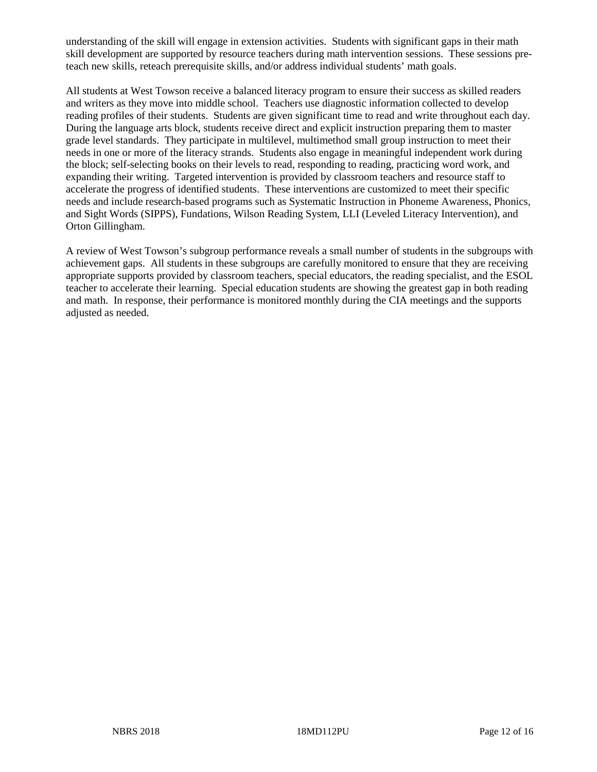understanding of the skill will engage in extension activities. Students with significant gaps in their math skill development are supported by resource teachers during math intervention sessions. These sessions preteach new skills, reteach prerequisite skills, and/or address individual students' math goals.

All students at West Towson receive a balanced literacy program to ensure their success as skilled readers and writers as they move into middle school. Teachers use diagnostic information collected to develop reading profiles of their students. Students are given significant time to read and write throughout each day. During the language arts block, students receive direct and explicit instruction preparing them to master grade level standards. They participate in multilevel, multimethod small group instruction to meet their needs in one or more of the literacy strands. Students also engage in meaningful independent work during the block; self-selecting books on their levels to read, responding to reading, practicing word work, and expanding their writing. Targeted intervention is provided by classroom teachers and resource staff to accelerate the progress of identified students. These interventions are customized to meet their specific needs and include research-based programs such as Systematic Instruction in Phoneme Awareness, Phonics, and Sight Words (SIPPS), Fundations, Wilson Reading System, LLI (Leveled Literacy Intervention), and Orton Gillingham.

A review of West Towson's subgroup performance reveals a small number of students in the subgroups with achievement gaps. All students in these subgroups are carefully monitored to ensure that they are receiving appropriate supports provided by classroom teachers, special educators, the reading specialist, and the ESOL teacher to accelerate their learning. Special education students are showing the greatest gap in both reading and math. In response, their performance is monitored monthly during the CIA meetings and the supports adjusted as needed.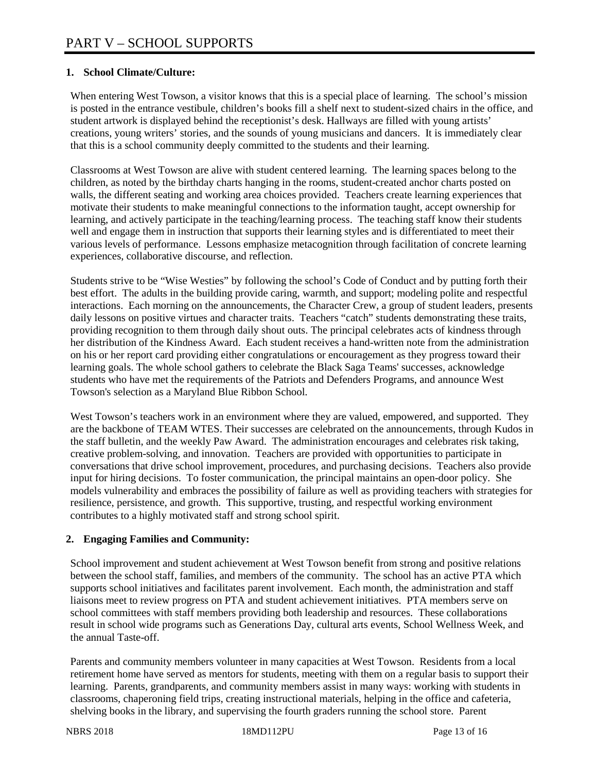## **1. School Climate/Culture:**

When entering West Towson, a visitor knows that this is a special place of learning. The school's mission is posted in the entrance vestibule, children's books fill a shelf next to student-sized chairs in the office, and student artwork is displayed behind the receptionist's desk. Hallways are filled with young artists' creations, young writers' stories, and the sounds of young musicians and dancers. It is immediately clear that this is a school community deeply committed to the students and their learning.

Classrooms at West Towson are alive with student centered learning. The learning spaces belong to the children, as noted by the birthday charts hanging in the rooms, student-created anchor charts posted on walls, the different seating and working area choices provided. Teachers create learning experiences that motivate their students to make meaningful connections to the information taught, accept ownership for learning, and actively participate in the teaching/learning process. The teaching staff know their students well and engage them in instruction that supports their learning styles and is differentiated to meet their various levels of performance. Lessons emphasize metacognition through facilitation of concrete learning experiences, collaborative discourse, and reflection.

Students strive to be "Wise Westies" by following the school's Code of Conduct and by putting forth their best effort. The adults in the building provide caring, warmth, and support; modeling polite and respectful interactions. Each morning on the announcements, the Character Crew, a group of student leaders, presents daily lessons on positive virtues and character traits. Teachers "catch" students demonstrating these traits, providing recognition to them through daily shout outs. The principal celebrates acts of kindness through her distribution of the Kindness Award. Each student receives a hand-written note from the administration on his or her report card providing either congratulations or encouragement as they progress toward their learning goals. The whole school gathers to celebrate the Black Saga Teams' successes, acknowledge students who have met the requirements of the Patriots and Defenders Programs, and announce West Towson's selection as a Maryland Blue Ribbon School.

West Towson's teachers work in an environment where they are valued, empowered, and supported. They are the backbone of TEAM WTES. Their successes are celebrated on the announcements, through Kudos in the staff bulletin, and the weekly Paw Award. The administration encourages and celebrates risk taking, creative problem-solving, and innovation. Teachers are provided with opportunities to participate in conversations that drive school improvement, procedures, and purchasing decisions. Teachers also provide input for hiring decisions. To foster communication, the principal maintains an open-door policy. She models vulnerability and embraces the possibility of failure as well as providing teachers with strategies for resilience, persistence, and growth. This supportive, trusting, and respectful working environment contributes to a highly motivated staff and strong school spirit.

## **2. Engaging Families and Community:**

School improvement and student achievement at West Towson benefit from strong and positive relations between the school staff, families, and members of the community. The school has an active PTA which supports school initiatives and facilitates parent involvement. Each month, the administration and staff liaisons meet to review progress on PTA and student achievement initiatives. PTA members serve on school committees with staff members providing both leadership and resources. These collaborations result in school wide programs such as Generations Day, cultural arts events, School Wellness Week, and the annual Taste-off.

Parents and community members volunteer in many capacities at West Towson. Residents from a local retirement home have served as mentors for students, meeting with them on a regular basis to support their learning. Parents, grandparents, and community members assist in many ways: working with students in classrooms, chaperoning field trips, creating instructional materials, helping in the office and cafeteria, shelving books in the library, and supervising the fourth graders running the school store. Parent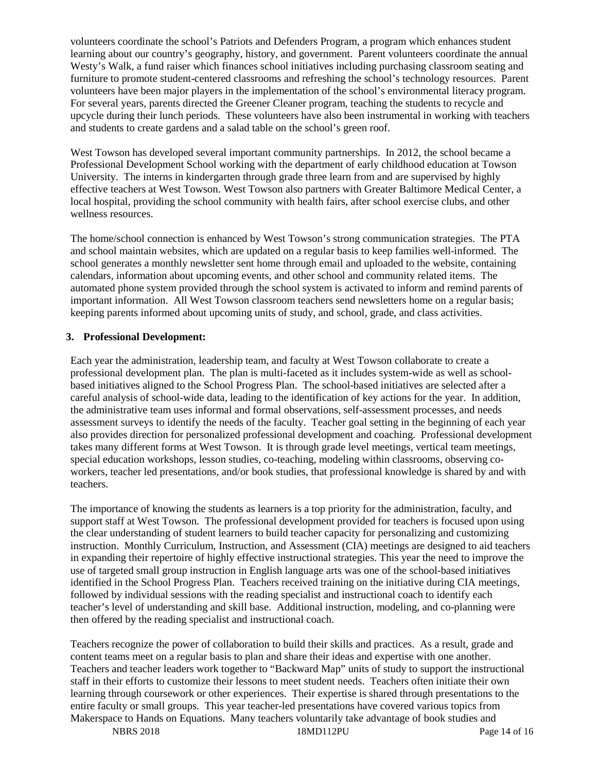volunteers coordinate the school's Patriots and Defenders Program, a program which enhances student learning about our country's geography, history, and government. Parent volunteers coordinate the annual Westy's Walk, a fund raiser which finances school initiatives including purchasing classroom seating and furniture to promote student-centered classrooms and refreshing the school's technology resources. Parent volunteers have been major players in the implementation of the school's environmental literacy program. For several years, parents directed the Greener Cleaner program, teaching the students to recycle and upcycle during their lunch periods. These volunteers have also been instrumental in working with teachers and students to create gardens and a salad table on the school's green roof.

West Towson has developed several important community partnerships. In 2012, the school became a Professional Development School working with the department of early childhood education at Towson University. The interns in kindergarten through grade three learn from and are supervised by highly effective teachers at West Towson. West Towson also partners with Greater Baltimore Medical Center, a local hospital, providing the school community with health fairs, after school exercise clubs, and other wellness resources.

The home/school connection is enhanced by West Towson's strong communication strategies. The PTA and school maintain websites, which are updated on a regular basis to keep families well-informed. The school generates a monthly newsletter sent home through email and uploaded to the website, containing calendars, information about upcoming events, and other school and community related items. The automated phone system provided through the school system is activated to inform and remind parents of important information. All West Towson classroom teachers send newsletters home on a regular basis; keeping parents informed about upcoming units of study, and school, grade, and class activities.

#### **3. Professional Development:**

Each year the administration, leadership team, and faculty at West Towson collaborate to create a professional development plan. The plan is multi-faceted as it includes system-wide as well as schoolbased initiatives aligned to the School Progress Plan. The school-based initiatives are selected after a careful analysis of school-wide data, leading to the identification of key actions for the year. In addition, the administrative team uses informal and formal observations, self-assessment processes, and needs assessment surveys to identify the needs of the faculty. Teacher goal setting in the beginning of each year also provides direction for personalized professional development and coaching. Professional development takes many different forms at West Towson. It is through grade level meetings, vertical team meetings, special education workshops, lesson studies, co-teaching, modeling within classrooms, observing coworkers, teacher led presentations, and/or book studies, that professional knowledge is shared by and with teachers.

The importance of knowing the students as learners is a top priority for the administration, faculty, and support staff at West Towson. The professional development provided for teachers is focused upon using the clear understanding of student learners to build teacher capacity for personalizing and customizing instruction. Monthly Curriculum, Instruction, and Assessment (CIA) meetings are designed to aid teachers in expanding their repertoire of highly effective instructional strategies. This year the need to improve the use of targeted small group instruction in English language arts was one of the school-based initiatives identified in the School Progress Plan. Teachers received training on the initiative during CIA meetings, followed by individual sessions with the reading specialist and instructional coach to identify each teacher's level of understanding and skill base. Additional instruction, modeling, and co-planning were then offered by the reading specialist and instructional coach.

Teachers recognize the power of collaboration to build their skills and practices. As a result, grade and content teams meet on a regular basis to plan and share their ideas and expertise with one another. Teachers and teacher leaders work together to "Backward Map" units of study to support the instructional staff in their efforts to customize their lessons to meet student needs. Teachers often initiate their own learning through coursework or other experiences. Their expertise is shared through presentations to the entire faculty or small groups. This year teacher-led presentations have covered various topics from Makerspace to Hands on Equations. Many teachers voluntarily take advantage of book studies and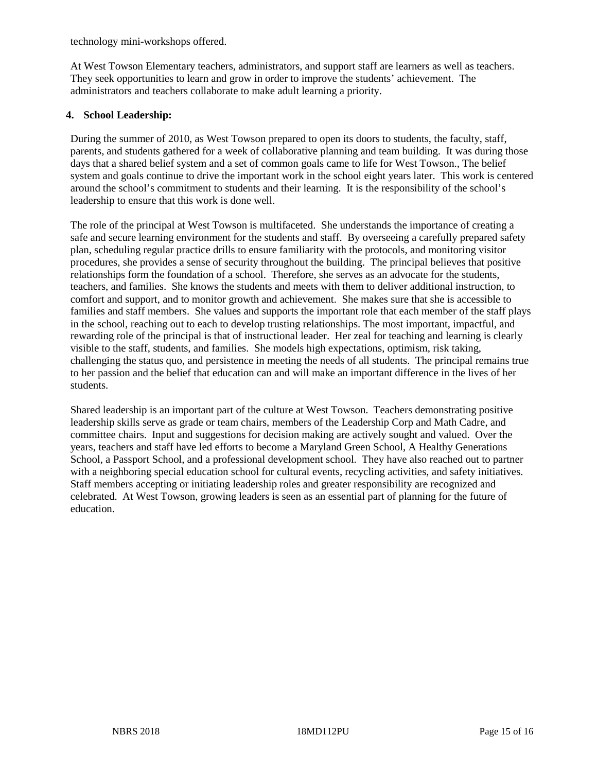technology mini-workshops offered.

At West Towson Elementary teachers, administrators, and support staff are learners as well as teachers. They seek opportunities to learn and grow in order to improve the students' achievement. The administrators and teachers collaborate to make adult learning a priority.

#### **4. School Leadership:**

During the summer of 2010, as West Towson prepared to open its doors to students, the faculty, staff, parents, and students gathered for a week of collaborative planning and team building. It was during those days that a shared belief system and a set of common goals came to life for West Towson., The belief system and goals continue to drive the important work in the school eight years later. This work is centered around the school's commitment to students and their learning. It is the responsibility of the school's leadership to ensure that this work is done well.

The role of the principal at West Towson is multifaceted. She understands the importance of creating a safe and secure learning environment for the students and staff. By overseeing a carefully prepared safety plan, scheduling regular practice drills to ensure familiarity with the protocols, and monitoring visitor procedures, she provides a sense of security throughout the building. The principal believes that positive relationships form the foundation of a school. Therefore, she serves as an advocate for the students, teachers, and families. She knows the students and meets with them to deliver additional instruction, to comfort and support, and to monitor growth and achievement. She makes sure that she is accessible to families and staff members. She values and supports the important role that each member of the staff plays in the school, reaching out to each to develop trusting relationships. The most important, impactful, and rewarding role of the principal is that of instructional leader. Her zeal for teaching and learning is clearly visible to the staff, students, and families. She models high expectations, optimism, risk taking, challenging the status quo, and persistence in meeting the needs of all students. The principal remains true to her passion and the belief that education can and will make an important difference in the lives of her students.

Shared leadership is an important part of the culture at West Towson. Teachers demonstrating positive leadership skills serve as grade or team chairs, members of the Leadership Corp and Math Cadre, and committee chairs. Input and suggestions for decision making are actively sought and valued. Over the years, teachers and staff have led efforts to become a Maryland Green School, A Healthy Generations School, a Passport School, and a professional development school. They have also reached out to partner with a neighboring special education school for cultural events, recycling activities, and safety initiatives. Staff members accepting or initiating leadership roles and greater responsibility are recognized and celebrated. At West Towson, growing leaders is seen as an essential part of planning for the future of education.